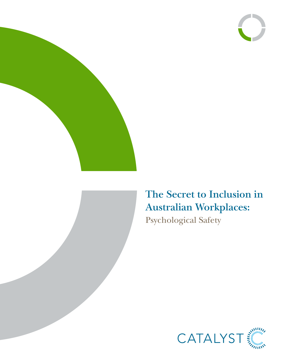





# **The Secret to Inclusion in Australian Workplaces:** Psychological Safety

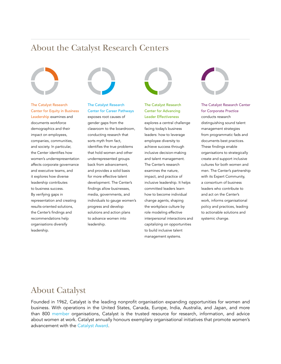### About the Catalyst Research Centers



#### The Catalyst Research Center for Equity in Business

Leadership examines and documents workforce demographics and their impact on employees, companies, communities, and society. In particular, the Center identifies how women's underrepresentation affects corporate governance and executive teams, and it explores how diverse leadership contributes to business success. By verifying gaps in representation and creating results-oriented solutions, the Center's findings and recommendations help organisations diversify leadership.



#### The Catalyst Research Center for Career Pathways

exposes root causes of gender gaps from the classroom to the boardroom, conducting research that sorts myth from fact, identifies the true problems that hold women and other underrepresented groups back from advancement, and provides a solid basis for more effective talent development. The Center's findings allow businesses, media, governments, and individuals to gauge women's progress and develop solutions and action plans to advance women into leadership.



The Catalyst Research Center for Advancing Leader Effectiveness explores a central challenge facing today's business leaders: how to leverage employee diversity to achieve success through inclusive decision-making and talent management. The Center's research examines the nature, impact, and practice of inclusive leadership. It helps committed leaders learn how to become individual change agents, shaping the workplace culture by role modeling effective interpersonal interactions and capitalizing on opportunities to build inclusive talent management systems.



#### The Catalyst Research Center for Corporate Practice

conducts research distinguishing sound talent management strategies from programmatic fads and documents best practices. These findings enable organisations to strategically create and support inclusive cultures for both women and men. The Center's partnership with its Expert Community, a consortium of business leaders who contribute to and act on the Center's work, informs organisational policy and practices, leading to actionable solutions and systemic change.

## About Catalyst

Founded in 1962, Catalyst is the leading nonprofit organisation expanding opportunities for women and business. With operations in the United States, Canada, Europe, India, Australia, and Japan, and more than 800 [member](http://catalyst.org/who-we-are/membership/member-listing) organisations, Catalyst is the trusted resource for research, information, and advice about women at work. Catalyst annually honours exemplary organisational initiatives that promote women's advancement with the [Catalyst Award](http://catalyst.org/awards-practices/catalyst-award).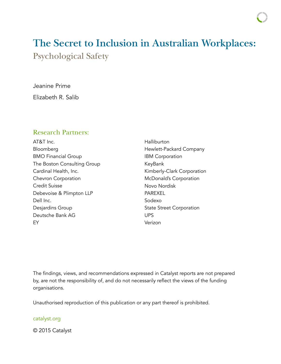# **The Secret to Inclusion in Australian Workplaces:** Psychological Safety

Jeanine Prime Elizabeth R. Salib

### Research Partners:

AT&T Inc. Bloomberg BMO Financial Group The Boston Consulting Group Cardinal Health, Inc. Chevron Corporation Credit Suisse Debevoise & Plimpton LLP Dell Inc. Desjardins Group Deutsche Bank AG EY

Halliburton Hewlett-Packard Company IBM Corporation KeyBank Kimberly-Clark Corporation McDonald's Corporation Novo Nordisk PAREXEL Sodexo State Street Corporation UPS Verizon

The findings, views, and recommendations expressed in Catalyst reports are not prepared by, are not the responsibility of, and do not necessarily reflect the views of the funding organisations.

Unauthorised reproduction of this publication or any part thereof is prohibited.

#### catalyst.org

© 2015 Catalyst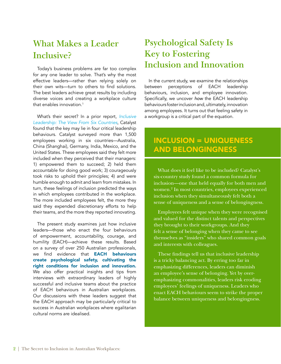## **What Makes a Leader Inclusive?**

Today's business problems are far too complex for any one leader to solve. That's why the most effective leaders—rather than relying solely on their own wits—turn to others to find solutions. The best leaders achieve great results by including diverse voices and creating a workplace culture that enables innovation.<sup>1</sup>

What's their secret? In a prior report, *[Inclusive](http://www.catalyst.org/knowledge/inclusive-leadership-view-six-countries) [Leadership: The View From Six Countries](http://www.catalyst.org/knowledge/inclusive-leadership-view-six-countries)*, Catalyst found that the key may lie in four critical leadership behaviours. Catalyst surveyed more than 1,500 employees working in six countries—Australia, China (Shanghai), Germany, India, Mexico, and the United States. These employees said they felt more included when they perceived that their managers: 1) empowered them to succeed; 2) held them accountable for doing good work; 3) courageously took risks to uphold their principles; 4) and were humble enough to admit and learn from mistakes. In turn, these feelings of inclusion predicted the ways in which employees contributed in the workplace. The more included employees felt, the more they said they expended discretionary efforts to help their teams, and the more they reported innovating.

The present study examines just how inclusive leaders—those who enact the four behaviours of empowerment, accountability, courage, and humility (EACH)—achieve these results. Based on a survey of over 250 Australian professionals, we find evidence that **EACH behaviours** create psychological safety, cultivating the right conditions for inclusion and innovation. We also offer practical insights and tips from interviews with extraordinary leaders of highly successful and inclusive teams about the practice of EACH behaviours in Australian workplaces. Our discussions with these leaders suggest that the EACH approach may be particularly critical to success in Australian workplaces where egalitarian cultural norms are idealised.

## **Psychological Safety Is Key to Fostering Inclusion and Innovation**

In the current study, we examine the relationships between perceptions of EACH leadership behaviours, inclusion, and employee innovation. Specifically, we uncover *how* the EACH leadership behaviours foster inclusion and, ultimately, innovation among employees. It turns out that feeling safety in a workgroup is a critical part of the equation.

## INCLUSION = UNIQUENESS AND BELONGINGNESS

What does it feel like to be included? Catalyst's six-country study found a common formula for inclusion—one that held equally for both men and women.2 In most countries, employees experienced inclusion when they simultaneously felt both a sense of uniqueness and a sense of belongingness.

Employees felt unique when they were recognised and valued for the distinct talents and perspectives they brought to their workgroups. And they felt a sense of belonging when they came to see themselves as "insiders" who shared common goals and interests with colleagues.

These findings tell us that inclusive leadership is a tricky balancing act. By erring too far in emphasizing differences, leaders can diminish an employee's sense of belonging. Yet by overemphasizing commonalities, leaders risk eroding employees' feelings of uniqueness. Leaders who enact EACH behaviours seem to strike the proper balance between uniqueness and belongingness.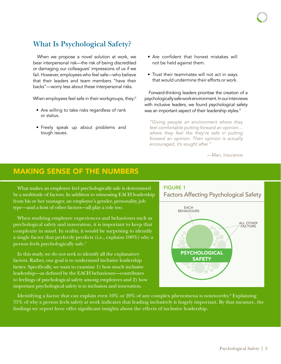## **What Is Psychological Safety?**

When we propose a novel solution at work, we bear interpersonal risk—the risk of being discredited or damaging our colleagues' impressions of us if we fail. However, employees who feel safe—who believe that their leaders and team members "have their backs"—worry less about these interpersonal risks.

When employees feel safe in their workgroups, they:<sup>3</sup>

- Are willing to take risks regardless of rank or status.
- Freely speak up about problems and tough issues.
- Are confident that honest mistakes will not be held against them.
- Trust their teammates will not act in ways that would undermine their efforts or work.

Forward-thinking leaders prioritise the creation of a psychologically safe work environment. In our interviews with inclusive leaders, we found psychological safety was an important aspect of their leadership styles.<sup>4</sup>

*"Giving people an environment where they feel comfortable putting forward an opinion… where they feel like they're safe in putting forward an opinion. Their opinion is actually encouraged, it's sought after."*

—Man, Insurance

### MAKING SENSE OF THE NUMBERS

What makes an employee feel psychologically safe is determined by a multitude of factors. In addition to witnessing EACH leadership from his or her manager, an employee's gender, personality, job type—and a host of other factors—all play a role too.

When studying employee experiences and behaviours such as psychological safety and innovation, it is important to keep that complexity in mind. In reality, it would be surprising to identify a single factor that perfectly predicts (i.e., explains 100%) why a person feels psychologically safe.5

In this study, we do not seek to identify all the explanatory factors. Rather, our goal is to understand inclusive leadership better. Specifically, we want to examine 1) how much inclusive leadership—as defined by the EACH behaviours—contributes to feelings of psychological safety among employees and 2) how important psychological safety is to inclusion and innovation.



Identifying a factor that can explain even  $10\%$  or  $20\%$  of any complex phenomena is noteworthy. $^6$  Explaining  $31\%$  of why a person feels safety at work indicates that leading inclusively is hugely important. By that measure, the findings we report here offer significant insights about the effects of inclusive leadership.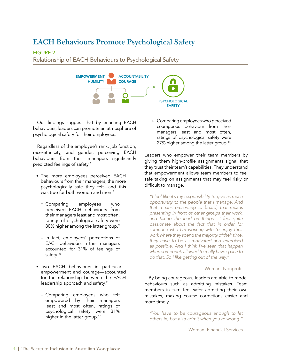### **EACH Behaviours Promote Psychological Safety**

#### FIGURE 2

Relationship of EACH Behaviours to Psychological Safety



Our findings suggest that by enacting EACH behaviours, leaders can promote an atmosphere of psychological safety for their employees.

Regardless of the employee's rank, job function, race/ethnicity, and gender, perceiving EACH behaviours from their managers significantly predicted feelings of safety.<sup>7</sup>

- The more employees perceived EACH behaviours from their managers, the more psychologically safe they felt—and this was true for both women and men.<sup>8</sup>
	- $\Box$  Comparing employees who companing comproyees the measurement their managers least and most often, ratings of psychological safety were 80% higher among the latter group.<sup>9</sup> employees
	- $\Box$  In fact, employees' perceptions of EACH behaviours in their managers accounted for 31% of feelings of safety.<sup>10</sup>
- Two EACH behaviours in particular empowerment and courage—accounted for the relationship between the EACH leadership approach and safety.<sup>11</sup>
	- $\Box$  Comparing employees who felt empowered by their managers least and most often, ratings of psychological safety were 31% higher in the latter group.<sup>12</sup>

 $\Box$  Comparing employees who perceived courageous behaviour from their managers least and most often, ratings of psychological safety were 27% higher among the latter group.<sup>13</sup>

Leaders who empower their team members by giving them high-profile assignments signal that they trust their team's capabilities. They understand that empowerment allows team members to feel safe taking on assignments that may feel risky or difficult to manage.

"I feel like it's my responsibility to give as much *opportunity to the people that I manage. And that means presenting to board, that means*  presenting in front of other groups their work, *and taking the lead on things….I feel quite passionate about the fact that in order for*  passionate about the fact that in order for<br>someone who I'm working with to enjoy their *work where they spend the majority of their time,*  they have to be as motivated and energised *as possible. And I think I've seen that happen when someone's allowed to really have space to do that. So I like getting out of the way."* s who

#### —Woman, Nonprofit

By being courageous, leaders are able to model behaviours such as admitting mistakes. Team members in turn feel safer admitting their own mistakes, making course corrections easier and more timely.

*"You have to be courageous enough to let others in, but also admit when you're wrong."*

—Woman, Financial Services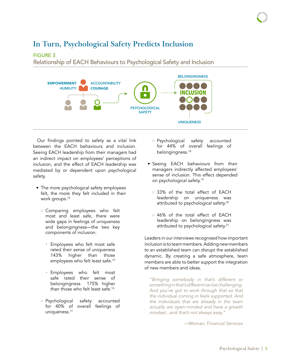# In Turn, Psychological Safety Predicts Inclusion

#### FIGURE 3

Relationship of EACH Behaviours to Psychological Safety and Inclusion



Our findings pointed to safety as a vital link between the EACH behaviours and inclusion. Seeing EACH leadership from their managers had an indirect impact on employees' perceptions of inclusion, and the effect of EACH leadership was mediated by or dependent upon psychological safety.

- The more psychological safety employees felt, the more they felt included in their work groups.<sup>14</sup>
	- $\Box$  Comparing employees who felt most and least safe, there were wide gaps in feelings of uniqueness and belongingness—the two key components of inclusion.
		- · Employees who felt most safe rated their sense of uniqueness 143% higher than those employees who felt least safe.<sup>15</sup>
		- · Employees who felt most safe rated their sense of belongingness 175% higher than those who felt least safe.<sup>16</sup>
	- **E** Psychological safety accounted for 40% of overall feelings of uniqueness.<sup>17</sup>
- **Executed** safety accounted for 44% of overall feelings of belongingness.18 safety
- Seeing EACH behaviours from their managers indirectly affected employees' sense of inclusion. This effect depended on psychological safety.<sup>19</sup>
	- <sup>0</sup> 33% of the total effect of EACH leadership on uniqueness was attributed to psychological safety.<sup>20</sup>
	- $\Box$  46% of the total effect of EACH leadership on belongingness was attributed to psychological safety.<sup>21</sup>

Leaders in our interviews recognised how important inclusion is to team members. Adding new members to an established team can disrupt the established dynamic. By creating a safe atmosphere, team members are able to better support the integration of new members and ideas.

*"Bringing somebody in that's different or something in that's different can be challenging. And you've got to work through that so that the individual coming in feels supported. And the individuals that are already in the team actually are open-minded and have a growth mindset...and that's not always easy."*

—Woman, Financial Services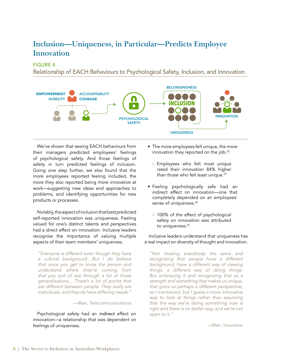### **Inclusion—Uniqueness, in Particular—Predicts Employee Innovation INCLUSION**

FIGURE 4

. . . . . .<br>Relationship of EACH Behaviours to Psychological Safety, Inclusion, and Innovation



We've shown that seeing EACH behaviours from their managers predicted employees' feelings of psychological safety. And those feelings of safety in turn predicted feelings of inclusion. Going one step further, we also found that the more employees reported feeling included, the more they also reported being more innovative at work—suggesting new ideas and approaches to problems, and identifying opportunities for new products or processes.

Notably, the aspect of inclusion that best predicted self-reported innovation was uniqueness. Feeling valued for one's distinct talents and perspectives had a direct effect on innovation. Inclusive leaders recognise the importance of valuing multiple aspects of their team members' uniqueness.

*"Everyone is different even though they have a cultural background....But I do believe that once you get to know the person and understand where they're coming from that you sort of see through a lot of those generalisations….There's a lot of points that are different between people. They really are individuals, and they do have differing needs."*

#### —Man, Telecommunications

Psychological safety had an *indirect* effect on innovation—a relationship that was dependent on feelings of uniqueness.

- The more employees felt unique, the more innovation they reported on the job.<sup>22</sup>
	- $\Box$  Employees who felt most unique rated their innovation 84% higher than those who felt least unique.<sup>23</sup>
- Feeling psychologically safe had an indirect effect on innovation—one that completely depended on an employees' sense of uniqueness.<sup>24</sup>
	- $\Box$  100% of the effect of psychological safety on innovation was attributed to uniqueness.<sup>25</sup>

#### Inclusive leaders understand that uniqueness has a real impact on diversity of thought and innovation.

*"Not treating everybody the same and recognizing that people have a different background, have a different way of viewing things, a different way of doing things. But embracing it and recognizing that as a strength and something that makes us unique, that gives us perhaps a different perspective, as I mentioned, but I guess a more innovative way to look at things rather than assuming that the way we're doing something now is right and there is no better way, and we're not open to it."*

—Man, Insurance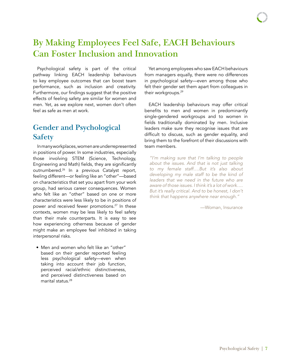## **By Making Employees Feel Safe, EACH Behaviours Can Foster Inclusion and Innovation**

Psychological safety is part of the critical pathway linking EACH leadership behaviours to key employee outcomes that can boost team performance, such as inclusion and creativity. Furthermore, our findings suggest that the positive effects of feeling safety are similar for women and men. Yet, as we explore next, women don't often feel as safe as men at work.

## **Gender and Psychological Safety**

In many workplaces, women are underrepresented in positions of power. In some industries, especially those involving STEM (Science, Technology, Engineering and Math) fields, they are significantly outnumbered.<sup>26</sup> In a previous Catalyst report, feeling different—or feeling like an "other"—based on characteristics that set you apart from your work group, had serious career consequences. Women who felt like an "other" based on one or more characteristics were less likely to be in positions of power and received fewer promotions.<sup>27</sup> In these contexts, women may be less likely to feel safety than their male counterparts. It is easy to see how experiencing otherness because of gender might make an employee feel inhibited in taking interpersonal risks.

• Men and women who felt like an "other" based on their gender reported feeling less psychological safety—even when taking into account their job function, perceived racial/ethnic distinctiveness, and perceived distinctiveness based on marital status.<sup>28</sup>

Yet among employees who saw EACH behaviours from managers equally, there were no differences in psychological safety—even among those who felt their gender set them apart from colleagues in their workgroups.<sup>29</sup>

EACH leadership behaviours may offer critical benefits to men and women in predominantly single-gendered workgroups and to women in fields traditionally dominated by men. Inclusive leaders make sure they recognise issues that are difficult to discuss, such as gender equality, and bring them to the forefront of their discussions with team members.

*"I'm making sure that I'm talking to people about the issues. And that is not just talking to my female staff….But it's also about developing my male staff to be the kind of leaders that we need in the future who are aware of those issues. I think it's a lot of work…. But it's really critical. And to be honest, I don't think that happens anywhere near enough."*

—Woman, Insurance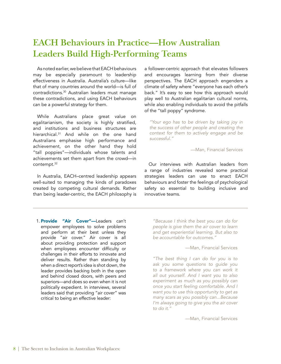## **EACH Behaviours in Practice—How Australian Leaders Build High-Performing Teams**

As noted earlier, we believe that EACH behaviours may be especially paramount to leadership effectiveness in Australia. Australia's culture—like that of many countries around the world—is full of contradictions.30 Australian leaders must manage these contradictions, and using EACH behaviours can be a powerful strategy for them.

While Australians place great value on egalitarianism, the society is highly stratified, and institutions and business structures are hierarchical.<sup>31</sup> And while on the one hand Australians emphasise high performance and achievement, on the other hand they hold "tall poppies"—individuals whose talents and achievements set them apart from the crowd—in contempt.<sup>32</sup>

In Australia, EACH–centred leadership appears well-suited to managing the kinds of paradoxes created by competing cultural demands. Rather than being leader-centric, the EACH philosophy is

1. Provide "Air Cover"-Leaders can't empower employees to solve problems and perform at their best unless they provide "air cover." Air cover is all about providing protection and support when employees encounter difficulty or challenges in their efforts to innovate and deliver results. Rather than standing by when a direct report's idea is shot down, the leader provides backing both in the open and behind closed doors, with peers and superiors—and does so even when it is not politically expedient. In interviews, several leaders said that providing "air cover" was critical to being an effective leader:

a follower-centric approach that elevates followers and encourages learning from their diverse perspectives. The EACH approach engenders a climate of safety where "everyone has each other's back." It's easy to see how this approach would play well to Australian egalitarian cultural norms, while also enabling individuals to avoid the pitfalls of the "tall poppy" syndrome.

*"Your ego has to be driven by taking joy in the success of other people and creating the context for them to actively engage and be successful."*

#### —Man, Financial Services

Our interviews with Australian leaders from a range of industries revealed some practical strategies leaders can use to enact EACH behaviours and foster the feelings of psychological safety so essential to building inclusive and innovative teams.

*"Because I think the best you can do for people is give them the air cover to learn and get experiential learning. But also to be accountable for outcomes."* 

—Man, Financial Services

*"The best thing I can do for you is to ask you some questions to guide you to a framework where you can work it all out yourself. And I want you to also experiment as much as you possibly can once you start feeling comfortable. And I want you to use this opportunity to get as many scars as you possibly can...Because I'm always going to give you the air cover to do it."*

—Man, Financial Services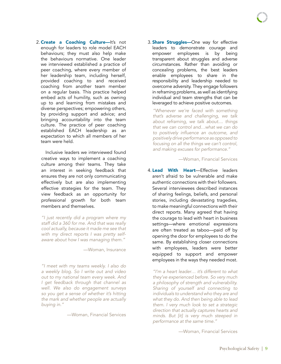2. Create a Coaching Culture-It's not enough for leaders to role model EACH behaviours; they must also help make the behaviours normative. One leader we interviewed established a practice of peer coaching, where every member of her leadership team, including herself, provided coaching to and received coaching from another team member on a regular basis. This practice helped embed acts of humility, such as owning up to and learning from mistakes and diverse perspectives; empowering others, by providing support and advice; and bringing accountability into the team culture. The practice of peer coaching established EACH leadership as an expectation to which all members of her team were held.

Inclusive leaders we interviewed found creative ways to implement a coaching culture among their teams. They take an interest in seeking feedback that ensures they are not only communicating effectively but are also implementing effective strategies for the team. They view feedback as an opportunity for professional growth for both team members and themselves.

*"I just recently did a program where my staff did a 360 for me. And that was really cool actually, because it made me see that with my direct reports I was pretty selfaware about how I was managing them."*

—Woman, Insurance

*"I meet with my teams weekly. I also do a weekly blog. So I write out and video out to my national team every week. And I get feedback through that channel as well. We also do engagement surveys so you get a sense of whether it's hitting the mark and whether people are actually buying in."*

—Woman, Financial Services

3. **Share Struggles**—One way for effective leaders to demonstrate courage and empower employees is by being transparent about struggles and adverse circumstances. Rather than avoiding or concealing problems, the best leaders enable employees to share in the responsibility and leadership needed to overcome adversity. They engage followers in reframing problems, as well as identifying individual and team strengths that can be leveraged to achieve positive outcomes.

*"Whenever we're faced with something that's adverse and challenging, we talk about reframing, we talk about.... things that we can control and…what we can do*  to positively influence an outcome, and *positively drive performance as opposed to focusing on all the things we can't control, and making excuses for performance."*

—Woman, Financial Services

4. Lead With Heart-Effective leaders aren't afraid to be vulnerable and make authentic connections with their followers. Several interviewees described instances of sharing feelings, beliefs, and personal stories, including devastating tragedies, to make meaningful connections with their direct reports. Many agreed that having the courage to lead with heart in business settings—where emotional expressions are often treated as taboo—paid off by opening the door for employees to do the same. By establishing closer connections with employees, leaders were better equipped to support and empower employees in the ways they needed most.

*"I'm a heart leader… it's different to what they've experienced before. So very much a philosophy of strength and vulnerability. Sharing of yourself and connecting to individuals to understand who they are and what they do. And then being able to lead them. I very much look to set a strategic direction that actually captures hearts and minds. But [it] is very much steeped in performance at the same time."*

—Woman, Financial Services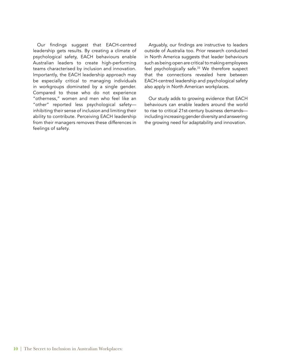Our findings suggest that EACH-centred leadership gets results. By creating a climate of psychological safety, EACH behaviours enable Australian leaders to create high-performing teams characterised by inclusion and innovation. Importantly, the EACH leadership approach may be especially critical to managing individuals in workgroups dominated by a single gender. Compared to those who do not experience "otherness," women and men who feel like an "other" reported less psychological safety inhibiting their sense of inclusion and limiting their ability to contribute. Perceiving EACH leadership from their managers removes these differences in feelings of safety.

Arguably, our findings are instructive to leaders outside of Australia too. Prior research conducted in North America suggests that leader behaviours such as being open are critical to making employees feel psychologically safe.33 We therefore suspect that the connections revealed here between EACH-centred leadership and psychological safety also apply in North American workplaces.

Our study adds to growing evidence that EACH behaviours can enable leaders around the world to rise to critical 21st-century business demands including increasing gender diversity and answering the growing need for adaptability and innovation.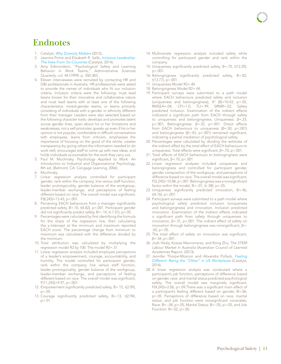## **Endnotes**

- 1. Catalyst, *[Why Diversity Matters](http://www.catalyst.org/knowledge/why-diversity-matters)* (2013)*.*
- 2. Jeanine Prime and Elizabeth R. Salib, *[Inclusive Leadership:](http://www.catalyst.org/knowledge/inclusive-leadership-view-six-countries)  [The View From Six Countries](http://www.catalyst.org/knowledge/inclusive-leadership-view-six-countries)* (Catalyst, 2014)*.*
- 3. Amy Edmondson, "Psychological Safety and Learning Behavior in Work Teams," *Administrative Sciences Quarterly*, vol. 44 (1999): p. 350-383.
- 4. Eleven interviewees were recruited by contacting HR and D&I professionals in Australia. HR professionals were asked to provide the names of individuals who fit our inclusion criteria. Inclusion criteria were the following: must lead teams known for their innovative and collaborative nature and must lead teams with at least one of the following characteristics: mixed-gender teams, or teams primarily consisting of individuals with a gender or ethnicity different from their manager. Leaders were also selected based on the following character traits: develops and promotes talent across gender lines, open about his or her limitations and weaknesses, not a self-promoter, speaks up even if his or her opinion is not popular, comfortable in difficult conversations with employees, learns from criticism, emphasises the importance of focusing on the good of the whole, creates transparency by giving others the information needed to do work well, encourages staff to come up with new ideas, and holds individuals accountable for the work they carry out.
- 5. Paul M. Muchinsky, *Psychology Applied to Work: An Introduction to Industrial and Organizational Psychology*, 8th ed. (Belmont, CA: Cengage Learning, 2006).
- 6. Muchinsky.
- 7. Linear regression analysis controlled for participant gender, rank within the company, line versus staff function, leader prototypicality, gender balance of the workgroup, leader-member exchange, and perceptions of feeling different based on race. The overall model was significant, F(8,245)=13.43, p<.001.
- 8. Perceiving EACH behaviours from a manager significantly predicted safety, B=.10, t(4.82), p<.001. Participant gender did not significantly predict safety, B=-.14, t(-1.57), p>.05.
- 9. Percentages were calculated by first identifying the formula for the slope of the regression line, then calculating the y-intercept at the minimum and maximum reported EACH score. The percentage change from minimum to maximum was calculated with the difference divided by the minimum.
- 10. Total attribution was calculated by multiplying the regression model R2 by 100. The model R2=.31.
- 11. Linear regression analysis included employee perceptions of a leader's empowerment, courage, accountability, and humility. The model controlled for participant gender, rank within the company, line versus staff function, leader prototypicality, gender balance of the workgroup, leader-member exchange, and perceptions of feeling different based on race. The overall model was significant, F(11,245)=9.97, p<.001.
- 12. Empowerment significantly predicted safety, B=.15, t(2.09), p<.05.
- 13. Courage significantly predicted safety, B=.13, t(2.94),  $p < 01$ .
- 14. Multivariate regression analysis included safety while controlling for participant gender and rank within the company.
- 15. Uniqueness significantly predicted safety, B=.70, t(12.29), p<.001.
- 16. Belongingness significantly predicted safety, B=.82, t(13.77), p<.001.
- 17. Uniqueness Model R2=.40.
- 18. Belongingness Model R2=.44.
- 19. Participant surveys were submitted to a path model where EACH behaviours predicted safety and inclusion (uniqueness and belongingness),  $X^2$  (8)=10.43, p>.05, RMSEA=.04, CFI=1.0, TLI=.99, SRMR=.02. Safety predicted inclusion. Examination of the indirect effects indicated a significant path from EACH through safety to uniqueness and belongingness; Uniqueness: β=.23, p<.001, Belongingness: β=.32, p<.001. Direct effects from EACH behaviours to uniqueness (β=.50, p<.001) and belongingness (β=.43, p<.001) remained significant, indicating a partial mediation of psychological safety.
- 20. Percentages were calculated by dividing the estimate of the indirect effect by the total effect of EACH behaviours to uniqueness. Total effects were significant, β=.70, p<.001.
- 21. Total effects of EACH behaviours to belongingness were significant, β=.70, p<.001.
- 22. Linear regression analyses included uniqueness and belongingness and controlled for participant gender, gender composition of the workgroup, and perceptions of difference based on race. The overall model was significant, F(5,245)=10.88, p<.001. Belongingness was a nonsignificant factor within the model,  $B = -.01$ , t( $-.08$ ),  $p > .05$ .
- 23. Uniqueness significantly predicted innovation, B=.46,  $t(4.76)$ , p<.001.
- 24. Participant surveys were submitted to a path model where psychological safety predicted inclusion (uniqueness and belongingness) and innovation. Inclusion predicted innovation. Examination of the indirect effects indicated a significant path from safety through uniqueness to innovation, β=.31, p=.001. The indirect effect of safety on innovation through belongingness was nonsignificant, β=-  $.02, p > .05.$
- 25. The total effect of safety on innovation was significant,  $β = .34$ ,  $p < .001$ .
- 26. Josh Healy, Kostas Mavromaras, and Rong Zhu, *The STEM Labour Market in Australia* (Australian Council of Learned Academies Report, (2013).
- 27. Jennifer Thorpe-Moscon and Alixandra Pollack, *[Feeling](http://www.catalyst.org/knowledge/feeling-different-being-other-us-workplaces)  [Different: Being the "Other" in US Workplaces](http://www.catalyst.org/knowledge/feeling-different-being-other-us-workplaces)* (Catalyst, 2014).
- 28. A linear regression analysis was conducted where a participant's job function, perceptions of difference based on gender, race, and marital status predicted psychological safety. The overall model was marginally significant, F(4,245)=2.06, p<.09.There was a significant main effect of a participant's feeling different based on gender, B=.06, p<.05. Perceptions of difference based on race, marital status, and job function were nonsignificant covariates, Race: B=-.04, p>.05, Marital Status: B=-.05, p>.05, and Job Function: B=.02, p>.05.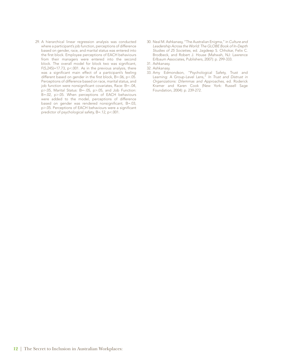- 29. A hierarchical linear regression analysis was conducted where a participant's job function, perceptions of difference based on gender, race, and marital status was entered into the first block. Employee perceptions of EACH behaviours from their managers were entered into the second block. The overall model for block two was significant,  $F(5,245)=17.73$ ,  $p<.001$ . As in the previous analysis, there was a significant main effect of a participant's feeling different based on gender in the first block, B=.06, p<.05. Perceptions of difference based on race, marital status, and job function were nonsignificant covariates, Race: B=-.04, p>.05, Marital Status: B=-.05, p>.05, and Job Function: B=.02, p>.05. When perceptions of EACH behaviours were added to the model, perceptions of difference based on gender was rendered nonsignificant, B=.03, p>.05. Perceptions of EACH behaviours were a significant predictor of psychological safety, B=.12, p<.001.
- 30. Neal M. Ashkanasy, "The Australian Enigma," in *Culture and Leadership Across the World: The GLOBE Book of In-Depth Studies of 25 Societies*, ed. Jagdeep S. Chhokar, Felix C. Brodbeck, and Robert J. House (Mahwah, NJ: Lawrence Erlbaum Associates, Publishers, 2007): p. 299-333.
- 31. Ashkanasy.
- 32. Ashkanasy.
- 33. Amy Edmondson, "Psychological Safety, Trust and Learning: A Group-Level Lens," *In Trust and Distrust in Organizations: Dilemmas and Approaches*, ed. Roderick Kramer and Karen Cook (New York: Russell Sage Foundation, 2004): p. 239-272.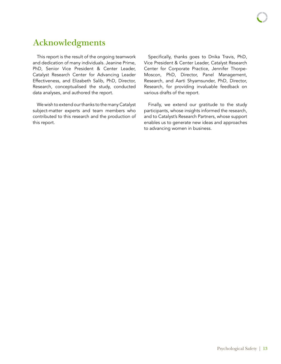## **Acknowledgments**

This report is the result of the ongoing teamwork and dedication of many individuals. Jeanine Prime, PhD, Senior Vice President & Center Leader, Catalyst Research Center for Advancing Leader Effectiveness, and Elizabeth Salib, PhD, Director, Research, conceptualised the study, conducted data analyses, and authored the report.

We wish to extend our thanks to the many Catalyst subject-matter experts and team members who contributed to this research and the production of this report.

Specifically, thanks goes to Dnika Travis, PhD, Vice President & Center Leader, Catalyst Research Center for Corporate Practice, Jennifer Thorpe-Moscon, PhD, Director, Panel Management, Research, and Aarti Shyamsunder, PhD, Director, Research, for providing invaluable feedback on various drafts of the report.

Finally, we extend our gratitude to the study participants, whose insights informed the research, and to Catalyst's Research Partners, whose support enables us to generate new ideas and approaches to advancing women in business.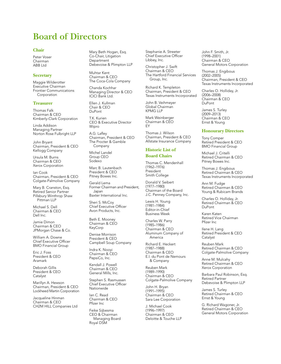## **Board of Directors**

#### **Chair**

Peter Voser Chairman ABB Ltd

#### **Secretary**

Maggie Wilderotter Executive Chairman Frontier Communications **Corporation** 

#### **Treasurer**

Thomas Falk Chairman & CEO Kimberly-Clark Corporation

Linda Addison Managing Partner Norton Rose Fulbright LLP

John Bryant Chairman, President & CEO Kellogg Company

Ursula M. Burns Chairman & CEO Xerox Corporation

Ian Cook Chairman, President & CEO Colgate-Palmolive Company

Mary B. Cranston, Esq. Retired Senior Partner Pillsbury Winthrop Shaw Pittman LLP

Michael S. Dell Chairman & CEO Dell Inc.

Jamie Dimon Chairman & CEO JPMorgan Chase & Co.

William A. Downe Chief Executive Officer BMO Financial Group

Eric J. Foss President & CEO Aramark

Deborah Gillis President & CEO Catalyst

Marillyn A. Hewson Chairman, President & CEO Lockheed Martin Corporation

Jacqueline Hinman Chairman & CEO CH2M HILL Companies Ltd Mary Beth Hogan, Esq. Co-Chair, Litigation Department Debevoise & Plimpton LLP

Muhtar Kent Chairman & CEO The Coca-Cola Company

Chanda Kochhar Managing Director & CEO ICICI Bank Ltd.

Ellen J. Kullman Chair & CEO DuPont

T.K. Kurien CEO & Executive Director Wipro

A.G. Lafley Chairman, President & CEO The Procter & Gamble Company

Michel Landel Group CEO Sodexo

Marc B. Lautenbach President & CEO Pitney Bowes Inc.

Gerald Lema Former Chairman and President, Japan Baxter International Inc.

Sheri S. McCoy Chief Executive Officer Avon Products, Inc.

Beth E. Mooney Chairman & CEO KeyCorp

Denise Morrison President & CEO Campbell Soup Company

Indra K. Nooyi Chairman & CEO PepsiCo, Inc.

Kendall J. Powell Chairman & CEO General Mills, Inc.

Stephen S. Rasmussen Chief Executive Officer Nationwide

Ian C. Read Chairman & CEO Pfizer Inc

Feike Sijbesma CEO & Chairman Managing Board Royal DSM

Stephanie A. Streeter Chief Executive Officer Libbey, Inc.

Christopher J. Swift Chairman & CEO The Hartford Financial Services Group, Inc.

Richard K. Templeton Chairman, President & CEO Texas Instruments Incorporated

John B. Veihmeyer Global Chairman KPMG LLP

Mark Weinberger Chairman & CEO EY

Thomas J. Wilson Chairman, President & CEO Allstate Insurance Company

#### **Historic List of**

#### **Board Chairs**

Thomas C. Mendenhall (1962–1976) President Smith College

Donald V. Seibert (1977–1980) Chairman of the Board J.C. Penney Company, Inc.

Lewis H. Young (1981–1984) Editor-in-Chief Business Week

Charles W. Parry (1985–1986) Chairman & CEO Aluminum Company of America

Richard E. Heckert (1987–1988) Chairman & CEO E.I. du Pont de Nemours & Company

Reuben Mark (1989–1990) Chairman & CEO Colgate-Palmolive Company

John H. Bryan (1991–1995) Chairman & CEO Sara Lee Corporation

J. Michael Cook (1996–1997) Chairman & CEO Deloitte & Touche LLP

John F. Smith, Jr. (1998–2001) Chairman & CEO General Motors Corporation

Thomas J. Engibous (2002–2005) Chairman, President & CEO Texas Instruments Incorporated

Charles O. Holliday, Jr. (2006–2008) Chairman & CEO DuPont

James S. Turley (2009–2013) Chairman & CEO Ernst & Young

#### **Honourary Directors**

Tony Comper Retired President & CEO BMO Financial Group

Michael J. Critelli Retired Chairman & CEO Pitney Bowes Inc.

Thomas J. Engibous Retired Chairman & CEO Texas Instruments Incorporated

Ann M. Fudge Retired Chairman & CEO Young & Rubicam Brands

Charles O. Holliday, Jr. Retired Chairman & CEO DuPont

Karen Katen Retired Vice Chairman Pfizer Inc

Ilene H. Lang Retired President & CEO **Catalyst** 

Reuben Mark Retired Chairman & CEO Colgate-Palmolive Company

Anne M. Mulcahy Retired Chairman & CEO Xerox Corporation

Barbara Paul Robinson, Esq. Retired Partner Debevoise & Plimpton LLP

James S. Turley Retired Chairman & CEO Ernst & Young

G. Richard Wagoner, Jr. Retired Chairman & CEO General Motors Corporation